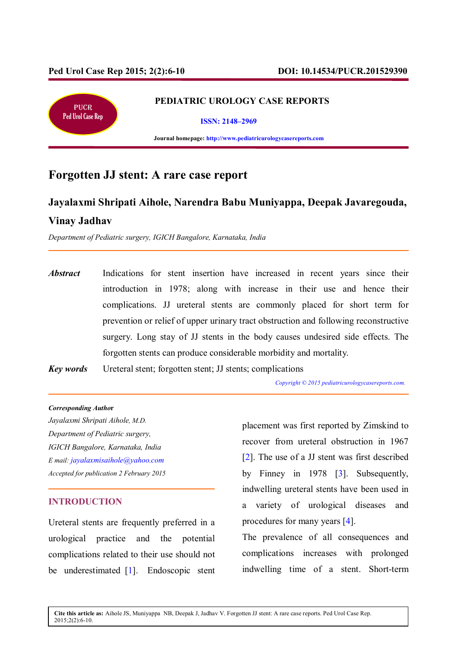Ī



#### **PEDIATRIC UROLOGY CASE REPORTS**

**ISSN: 2148–2969**

 **Journal homepage: http://www.pediatricurologycasereports.com**

# **Forgotten JJ stent: A rare case report**

# **Jayalaxmi Shripati Aihole, Narendra Babu Muniyappa, Deepak Javaregouda, Vinay Jadhav**

*Department of Pediatric surgery, IGICH Bangalore, Karnataka, India* 

*Abstract* Indications for stent insertion have increased in recent years since their introduction in 1978; along with increase in their use and hence their complications. JJ ureteral stents are commonly placed for short term for prevention or relief of upper urinary tract obstruction and following reconstructive surgery. Long stay of JJ stents in the body causes undesired side effects. The forgotten stents can produce considerable morbidity and mortality.

*Key words* Ureteral stent; forgotten stent; JJ stents; complications

 *Copyright © 2015 pediatricurologycasereports.com.* 

#### *Corresponding Autho***r**

*Jayalaxmi Shripati Aihole, M.D. Department of Pediatric surgery, IGICH Bangalore, Karnataka, India E mail: jayalaxmisaihole@yahoo.com Accepted for publication 2 February 2015*

# **INTRODUCTION**

Ureteral stents are frequently preferred in a urological practice and the potential complications related to their use should not be underestimated [1]. Endoscopic stent placement was first reported by Zimskind to recover from ureteral obstruction in 1967 [2]. The use of a JJ stent was first described by Finney in 1978 [3]. Subsequently, indwelling ureteral stents have been used in a variety of urological diseases and procedures for many years [4].

The prevalence of all consequences and complications increases with prolonged indwelling time of a stent. Short-term

**Cite this article as:** Aihole JS, Muniyappa NB, Deepak J, Jadhav V. Forgotten JJ stent: A rare case reports. Ped Urol Case Rep. 2015;2(2):6-10.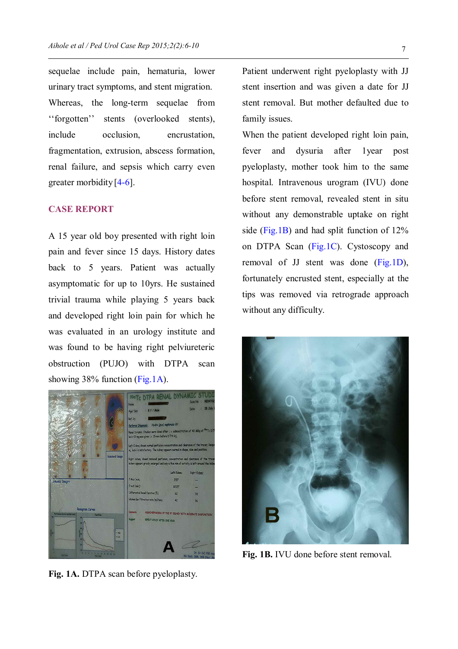sequelae include pain, hematuria, lower urinary tract symptoms, and stent migration. Whereas, the long-term sequelae from ''forgotten'' stents (overlooked stents), include occlusion, encrustation, fragmentation, extrusion, abscess formation, renal failure, and sepsis which carry even greater morbidity  $[4-6]$ .

# **CASE REPORT**

A 15 year old boy presented with right loin pain and fever since 15 days. History dates back to 5 years. Patient was actually asymptomatic for up to 10yrs. He sustained trivial trauma while playing 5 years back and developed right loin pain for which he was evaluated in an urology institute and was found to be having right pelviureteric obstruction (PUJO) with DTPA scan showing 38% function (Fig.1A).



**Fig. 1A.** DTPA scan before pyeloplasty.

Patient underwent right pyeloplasty with JJ stent insertion and was given a date for JJ stent removal. But mother defaulted due to family issues.

When the patient developed right loin pain, fever and dysuria after 1year post pyeloplasty, mother took him to the same hospital. Intravenous urogram (IVU) done before stent removal, revealed stent in situ without any demonstrable uptake on right side (Fig.1B) and had split function of 12% on DTPA Scan (Fig.1C). Cystoscopy and removal of JJ stent was done (Fig.1D), fortunately encrusted stent, especially at the tips was removed via retrograde approach without any difficulty.



**Fig. 1B.** IVU done before stent removal.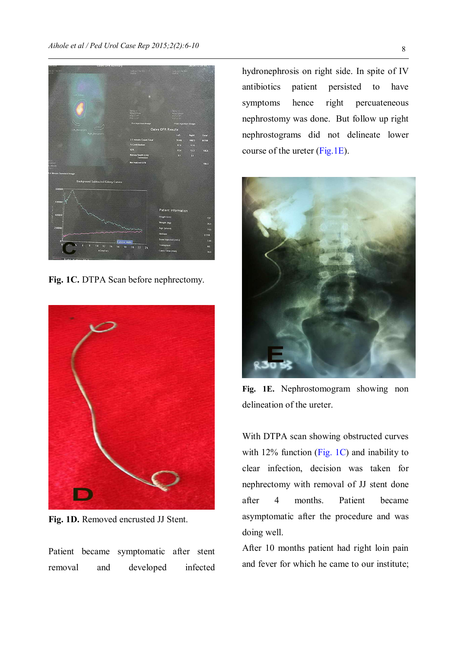

**Fig. 1C.** DTPA Scan before nephrectomy.



**Fig. 1D.** Removed encrusted JJ Stent.

Patient became symptomatic after stent removal and developed infected

hydronephrosis on right side. In spite of IV antibiotics patient persisted to have symptoms hence right percuateneous nephrostomy was done. But follow up right nephrostograms did not delineate lower course of the ureter (Fig.1E).



**Fig. 1E.** Nephrostomogram showing non delineation of the ureter.

With DTPA scan showing obstructed curves with 12% function (Fig. 1C) and inability to clear infection, decision was taken for nephrectomy with removal of JJ stent done after 4 months. Patient became asymptomatic after the procedure and was doing well.

After 10 months patient had right loin pain and fever for which he came to our institute;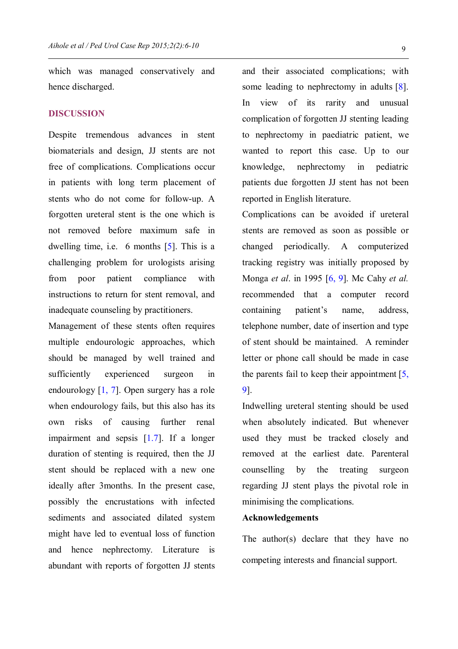which was managed conservatively and hence discharged.

### **DISCUSSION**

Despite tremendous advances in stent biomaterials and design, JJ stents are not free of complications. Complications occur in patients with long term placement of stents who do not come for follow-up. A forgotten ureteral stent is the one which is not removed before maximum safe in dwelling time, i.e. 6 months [5]. This is a challenging problem for urologists arising from poor patient compliance with instructions to return for stent removal, and inadequate counseling by practitioners.

Management of these stents often requires multiple endourologic approaches, which should be managed by well trained and sufficiently experienced surgeon in endourology [1, 7]. Open surgery has a role when endourology fails, but this also has its own risks of causing further renal impairment and sepsis [1.7]. If a longer duration of stenting is required, then the JJ stent should be replaced with a new one ideally after 3months. In the present case, possibly the encrustations with infected sediments and associated dilated system might have led to eventual loss of function and hence nephrectomy. Literature is abundant with reports of forgotten JJ stents

and their associated complications; with some leading to nephrectomy in adults [8]. In view of its rarity and unusual complication of forgotten JJ stenting leading to nephrectomy in paediatric patient, we wanted to report this case. Up to our knowledge, nephrectomy in pediatric patients due forgotten JJ stent has not been reported in English literature.

Complications can be avoided if ureteral stents are removed as soon as possible or changed periodically. A computerized tracking registry was initially proposed by Monga *et al*. in 1995 [6, 9]. Mc Cahy *et al.* recommended that a computer record containing patient's name, address, telephone number, date of insertion and type of stent should be maintained. A reminder letter or phone call should be made in case the parents fail to keep their appointment  $[5, 1]$ 9].

Indwelling ureteral stenting should be used when absolutely indicated. But whenever used they must be tracked closely and removed at the earliest date. Parenteral counselling by the treating surgeon regarding JJ stent plays the pivotal role in minimising the complications.

### **Acknowledgements**

The author(s) declare that they have no competing interests and financial support.